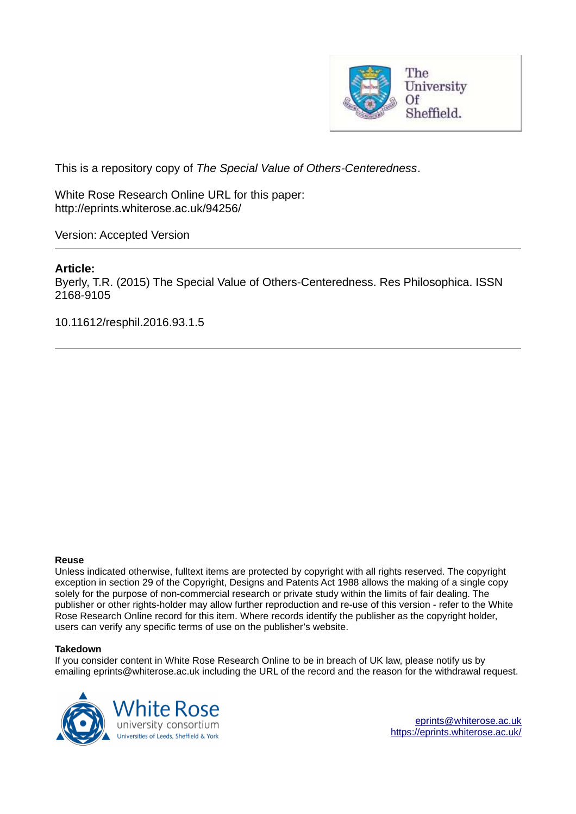

This is a repository copy of *The Special Value of Others-Centeredness*.

White Rose Research Online URL for this paper: http://eprints.whiterose.ac.uk/94256/

Version: Accepted Version

# **Article:**

Byerly, T.R. (2015) The Special Value of Others-Centeredness. Res Philosophica. ISSN 2168-9105

10.11612/resphil.2016.93.1.5

#### **Reuse**

Unless indicated otherwise, fulltext items are protected by copyright with all rights reserved. The copyright exception in section 29 of the Copyright, Designs and Patents Act 1988 allows the making of a single copy solely for the purpose of non-commercial research or private study within the limits of fair dealing. The publisher or other rights-holder may allow further reproduction and re-use of this version - refer to the White Rose Research Online record for this item. Where records identify the publisher as the copyright holder, users can verify any specific terms of use on the publisher's website.

#### **Takedown**

If you consider content in White Rose Research Online to be in breach of UK law, please notify us by emailing eprints@whiterose.ac.uk including the URL of the record and the reason for the withdrawal request.

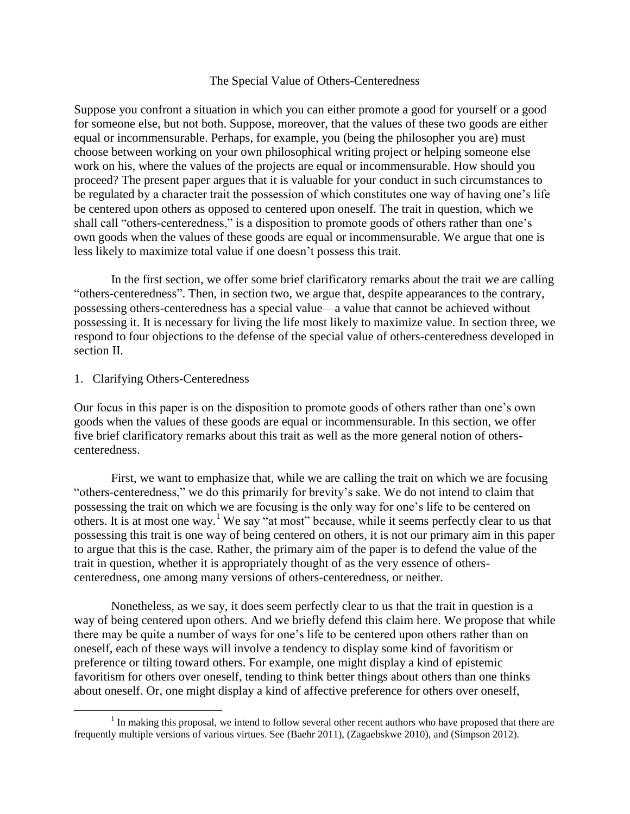#### The Special Value of Others-Centeredness

Suppose you confront a situation in which you can either promote a good for yourself or a good for someone else, but not both. Suppose, moreover, that the values of these two goods are either equal or incommensurable. Perhaps, for example, you (being the philosopher you are) must choose between working on your own philosophical writing project or helping someone else work on his, where the values of the projects are equal or incommensurable. How should you proceed? The present paper argues that it is valuable for your conduct in such circumstances to be regulated by a character trait the possession of which constitutes one way of having one's life be centered upon others as opposed to centered upon oneself. The trait in question, which we shall call "others-centeredness," is a disposition to promote goods of others rather than one's own goods when the values of these goods are equal or incommensurable. We argue that one is less likely to maximize total value if one doesn't possess this trait.

 In the first section, we offer some brief clarificatory remarks about the trait we are calling "others-centeredness". Then, in section two, we argue that, despite appearances to the contrary, possessing others-centeredness has a special value—a value that cannot be achieved without possessing it. It is necessary for living the life most likely to maximize value. In section three, we respond to four objections to the defense of the special value of others-centeredness developed in section II.

### 1. Clarifying Others-Centeredness

l

Our focus in this paper is on the disposition to promote goods of others rather than one's own goods when the values of these goods are equal or incommensurable. In this section, we offer five brief clarificatory remarks about this trait as well as the more general notion of otherscenteredness.

First, we want to emphasize that, while we are calling the trait on which we are focusing "others-centeredness," we do this primarily for brevity's sake. We do not intend to claim that possessing the trait on which we are focusing is the only way for one's life to be centered on others. It is at most one way.<sup>1</sup> We say "at most" because, while it seems perfectly clear to us that possessing this trait is one way of being centered on others, it is not our primary aim in this paper to argue that this is the case. Rather, the primary aim of the paper is to defend the value of the trait in question, whether it is appropriately thought of as the very essence of otherscenteredness, one among many versions of others-centeredness, or neither.

Nonetheless, as we say, it does seem perfectly clear to us that the trait in question is a way of being centered upon others. And we briefly defend this claim here. We propose that while there may be quite a number of ways for one's life to be centered upon others rather than on oneself, each of these ways will involve a tendency to display some kind of favoritism or preference or tilting toward others. For example, one might display a kind of epistemic favoritism for others over oneself, tending to think better things about others than one thinks about oneself. Or, one might display a kind of affective preference for others over oneself,

<sup>&</sup>lt;sup>1</sup> In making this proposal, we intend to follow several other recent authors who have proposed that there are frequently multiple versions of various virtues. See (Baehr 2011), (Zagaebskwe 2010), and (Simpson 2012).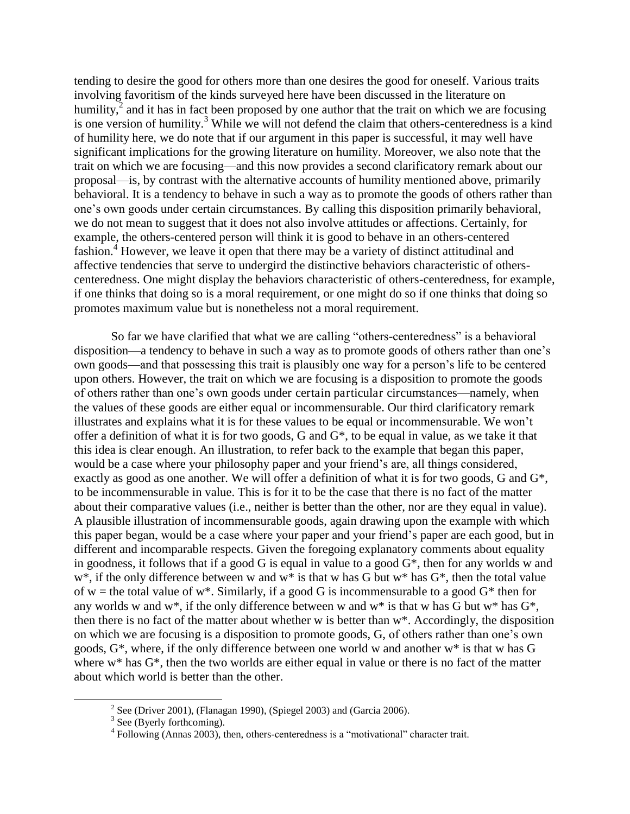tending to desire the good for others more than one desires the good for oneself. Various traits involving favoritism of the kinds surveyed here have been discussed in the literature on humility, $\epsilon^2$  and it has in fact been proposed by one author that the trait on which we are focusing is one version of humility.<sup>3</sup> While we will not defend the claim that others-centeredness is a kind of humility here, we do note that if our argument in this paper is successful, it may well have significant implications for the growing literature on humility. Moreover, we also note that the trait on which we are focusing—and this now provides a second clarificatory remark about our proposal—is, by contrast with the alternative accounts of humility mentioned above, primarily behavioral. It is a tendency to behave in such a way as to promote the goods of others rather than one's own goods under certain circumstances. By calling this disposition primarily behavioral, we do not mean to suggest that it does not also involve attitudes or affections. Certainly, for example, the others-centered person will think it is good to behave in an others-centered fashion.<sup>4</sup> However, we leave it open that there may be a variety of distinct attitudinal and affective tendencies that serve to undergird the distinctive behaviors characteristic of otherscenteredness. One might display the behaviors characteristic of others-centeredness, for example, if one thinks that doing so is a moral requirement, or one might do so if one thinks that doing so promotes maximum value but is nonetheless not a moral requirement.

So far we have clarified that what we are calling "others-centeredness" is a behavioral disposition—a tendency to behave in such a way as to promote goods of others rather than one's own goods—and that possessing this trait is plausibly one way for a person's life to be centered upon others. However, the trait on which we are focusing is a disposition to promote the goods of others rather than one's own goods under certain particular circumstances—namely, when the values of these goods are either equal or incommensurable. Our third clarificatory remark illustrates and explains what it is for these values to be equal or incommensurable. We won't offer a definition of what it is for two goods, G and G\*, to be equal in value, as we take it that this idea is clear enough. An illustration, to refer back to the example that began this paper, would be a case where your philosophy paper and your friend's are, all things considered, exactly as good as one another. We will offer a definition of what it is for two goods, G and G\*, to be incommensurable in value. This is for it to be the case that there is no fact of the matter about their comparative values (i.e., neither is better than the other, nor are they equal in value). A plausible illustration of incommensurable goods, again drawing upon the example with which this paper began, would be a case where your paper and your friend's paper are each good, but in different and incomparable respects. Given the foregoing explanatory comments about equality in goodness, it follows that if a good G is equal in value to a good G\*, then for any worlds w and  $w^*$ , if the only difference between w and  $w^*$  is that w has G but  $w^*$  has  $G^*$ , then the total value of w = the total value of w\*. Similarly, if a good G is incommensurable to a good  $G^*$  then for any worlds w and w<sup>\*</sup>, if the only difference between w and w<sup>\*</sup> is that w has G but w<sup>\*</sup> has  $G^*$ . then there is no fact of the matter about whether w is better than w\*. Accordingly, the disposition on which we are focusing is a disposition to promote goods, G, of others rather than one's own goods, G\*, where, if the only difference between one world w and another w\* is that w has G where w<sup>\*</sup> has  $G^*$ , then the two worlds are either equal in value or there is no fact of the matter about which world is better than the other.

<sup>&</sup>lt;sup>2</sup> See (Driver 2001), (Flanagan 1990), (Spiegel 2003) and (Garcia 2006). <sup>3</sup> See (Byerly forthcoming).

<sup>&</sup>lt;sup>4</sup> Following (Annas 2003), then, others-centeredness is a "motivational" character trait.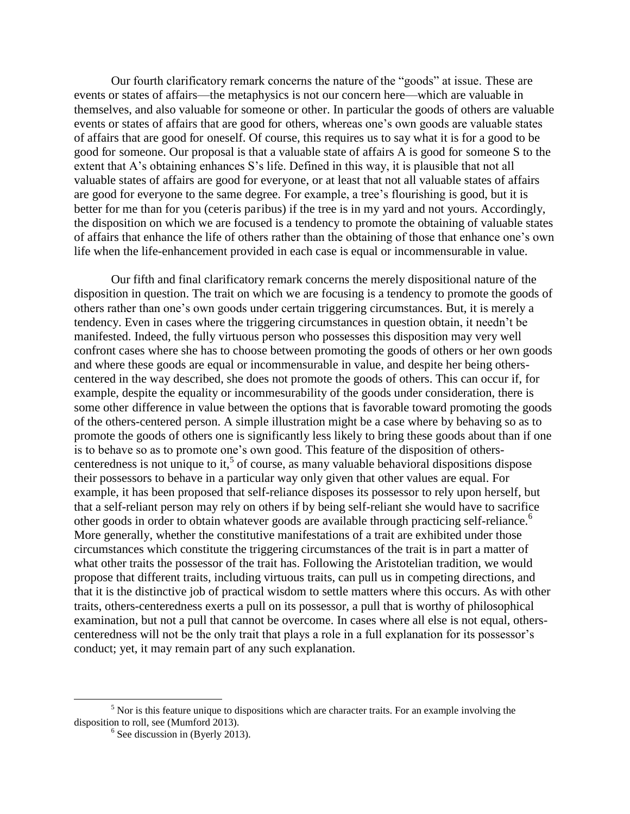Our fourth clarificatory remark concerns the nature of the "goods" at issue. These are events or states of affairs—the metaphysics is not our concern here—which are valuable in themselves, and also valuable for someone or other. In particular the goods of others are valuable events or states of affairs that are good for others, whereas one's own goods are valuable states of affairs that are good for oneself. Of course, this requires us to say what it is for a good to be good for someone. Our proposal is that a valuable state of affairs A is good for someone S to the extent that A's obtaining enhances S's life. Defined in this way, it is plausible that not all valuable states of affairs are good for everyone, or at least that not all valuable states of affairs are good for everyone to the same degree. For example, a tree's flourishing is good, but it is better for me than for you (ceteris paribus) if the tree is in my yard and not yours. Accordingly, the disposition on which we are focused is a tendency to promote the obtaining of valuable states of affairs that enhance the life of others rather than the obtaining of those that enhance one's own life when the life-enhancement provided in each case is equal or incommensurable in value.

Our fifth and final clarificatory remark concerns the merely dispositional nature of the disposition in question. The trait on which we are focusing is a tendency to promote the goods of others rather than one's own goods under certain triggering circumstances. But, it is merely a tendency. Even in cases where the triggering circumstances in question obtain, it needn't be manifested. Indeed, the fully virtuous person who possesses this disposition may very well confront cases where she has to choose between promoting the goods of others or her own goods and where these goods are equal or incommensurable in value, and despite her being otherscentered in the way described, she does not promote the goods of others. This can occur if, for example, despite the equality or incommesurability of the goods under consideration, there is some other difference in value between the options that is favorable toward promoting the goods of the others-centered person. A simple illustration might be a case where by behaving so as to promote the goods of others one is significantly less likely to bring these goods about than if one is to behave so as to promote one's own good. This feature of the disposition of otherscenteredness is not unique to it,<sup>5</sup> of course, as many valuable behavioral dispositions dispose their possessors to behave in a particular way only given that other values are equal. For example, it has been proposed that self-reliance disposes its possessor to rely upon herself, but that a self-reliant person may rely on others if by being self-reliant she would have to sacrifice other goods in order to obtain whatever goods are available through practicing self-reliance.<sup>6</sup> More generally, whether the constitutive manifestations of a trait are exhibited under those circumstances which constitute the triggering circumstances of the trait is in part a matter of what other traits the possessor of the trait has. Following the Aristotelian tradition, we would propose that different traits, including virtuous traits, can pull us in competing directions, and that it is the distinctive job of practical wisdom to settle matters where this occurs. As with other traits, others-centeredness exerts a pull on its possessor, a pull that is worthy of philosophical examination, but not a pull that cannot be overcome. In cases where all else is not equal, otherscenteredness will not be the only trait that plays a role in a full explanation for its possessor's conduct; yet, it may remain part of any such explanation.

<sup>&</sup>lt;sup>5</sup> Nor is this feature unique to dispositions which are character traits. For an example involving the disposition to roll, see (Mumford 2013).

 $<sup>6</sup>$  See discussion in (Byerly 2013).</sup>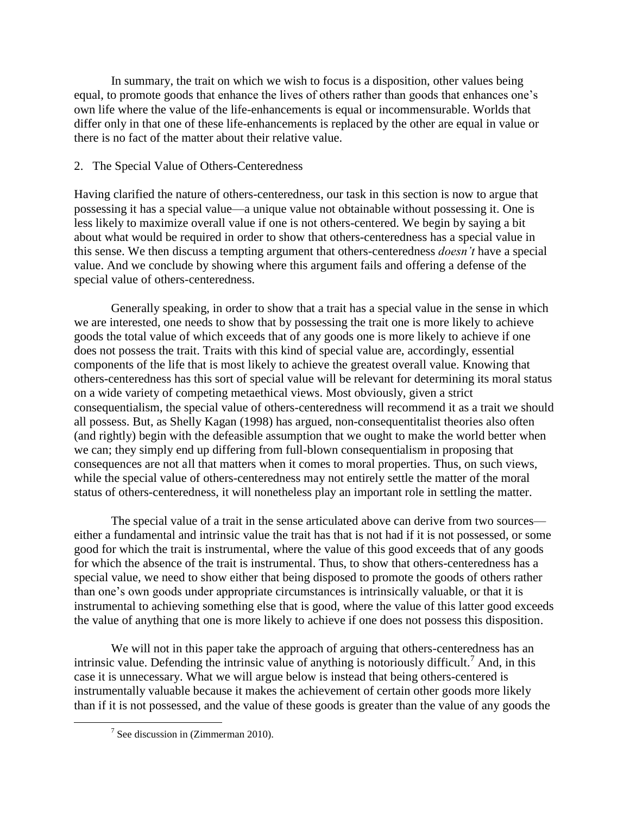In summary, the trait on which we wish to focus is a disposition, other values being equal, to promote goods that enhance the lives of others rather than goods that enhances one's own life where the value of the life-enhancements is equal or incommensurable. Worlds that differ only in that one of these life-enhancements is replaced by the other are equal in value or there is no fact of the matter about their relative value.

# 2. The Special Value of Others-Centeredness

Having clarified the nature of others-centeredness, our task in this section is now to argue that possessing it has a special value—a unique value not obtainable without possessing it. One is less likely to maximize overall value if one is not others-centered. We begin by saying a bit about what would be required in order to show that others-centeredness has a special value in this sense. We then discuss a tempting argument that others-centeredness *doesn't* have a special value. And we conclude by showing where this argument fails and offering a defense of the special value of others-centeredness.

Generally speaking, in order to show that a trait has a special value in the sense in which we are interested, one needs to show that by possessing the trait one is more likely to achieve goods the total value of which exceeds that of any goods one is more likely to achieve if one does not possess the trait. Traits with this kind of special value are, accordingly, essential components of the life that is most likely to achieve the greatest overall value. Knowing that others-centeredness has this sort of special value will be relevant for determining its moral status on a wide variety of competing metaethical views. Most obviously, given a strict consequentialism, the special value of others-centeredness will recommend it as a trait we should all possess. But, as Shelly Kagan (1998) has argued, non-consequentitalist theories also often (and rightly) begin with the defeasible assumption that we ought to make the world better when we can; they simply end up differing from full-blown consequentialism in proposing that consequences are not all that matters when it comes to moral properties. Thus, on such views, while the special value of others-centeredness may not entirely settle the matter of the moral status of others-centeredness, it will nonetheless play an important role in settling the matter.

The special value of a trait in the sense articulated above can derive from two sources either a fundamental and intrinsic value the trait has that is not had if it is not possessed, or some good for which the trait is instrumental, where the value of this good exceeds that of any goods for which the absence of the trait is instrumental. Thus, to show that others-centeredness has a special value, we need to show either that being disposed to promote the goods of others rather than one's own goods under appropriate circumstances is intrinsically valuable, or that it is instrumental to achieving something else that is good, where the value of this latter good exceeds the value of anything that one is more likely to achieve if one does not possess this disposition.

We will not in this paper take the approach of arguing that others-centeredness has an intrinsic value. Defending the intrinsic value of anything is notoriously difficult.<sup>7</sup> And, in this case it is unnecessary. What we will argue below is instead that being others-centered is instrumentally valuable because it makes the achievement of certain other goods more likely than if it is not possessed, and the value of these goods is greater than the value of any goods the

 $7$  See discussion in (Zimmerman 2010).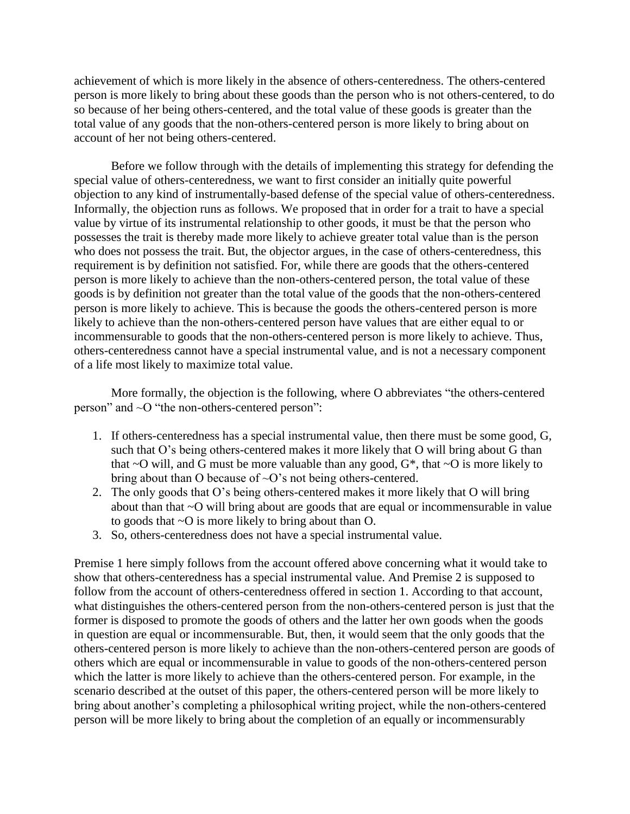achievement of which is more likely in the absence of others-centeredness. The others-centered person is more likely to bring about these goods than the person who is not others-centered, to do so because of her being others-centered, and the total value of these goods is greater than the total value of any goods that the non-others-centered person is more likely to bring about on account of her not being others-centered.

Before we follow through with the details of implementing this strategy for defending the special value of others-centeredness, we want to first consider an initially quite powerful objection to any kind of instrumentally-based defense of the special value of others-centeredness. Informally, the objection runs as follows. We proposed that in order for a trait to have a special value by virtue of its instrumental relationship to other goods, it must be that the person who possesses the trait is thereby made more likely to achieve greater total value than is the person who does not possess the trait. But, the objector argues, in the case of others-centeredness, this requirement is by definition not satisfied. For, while there are goods that the others-centered person is more likely to achieve than the non-others-centered person, the total value of these goods is by definition not greater than the total value of the goods that the non-others-centered person is more likely to achieve. This is because the goods the others-centered person is more likely to achieve than the non-others-centered person have values that are either equal to or incommensurable to goods that the non-others-centered person is more likely to achieve. Thus, others-centeredness cannot have a special instrumental value, and is not a necessary component of a life most likely to maximize total value.

More formally, the objection is the following, where O abbreviates "the others-centered person" and ~O "the non-others-centered person":

- 1. If others-centeredness has a special instrumental value, then there must be some good, G, such that O's being others-centered makes it more likely that O will bring about G than that  $\sim$ O will, and G must be more valuable than any good,  $G^*$ , that  $\sim$ O is more likely to bring about than O because of  $\sim$ O's not being others-centered.
- 2. The only goods that O's being others-centered makes it more likely that O will bring about than that ~O will bring about are goods that are equal or incommensurable in value to goods that ~O is more likely to bring about than O.
- 3. So, others-centeredness does not have a special instrumental value.

Premise 1 here simply follows from the account offered above concerning what it would take to show that others-centeredness has a special instrumental value. And Premise 2 is supposed to follow from the account of others-centeredness offered in section 1. According to that account, what distinguishes the others-centered person from the non-others-centered person is just that the former is disposed to promote the goods of others and the latter her own goods when the goods in question are equal or incommensurable. But, then, it would seem that the only goods that the others-centered person is more likely to achieve than the non-others-centered person are goods of others which are equal or incommensurable in value to goods of the non-others-centered person which the latter is more likely to achieve than the others-centered person. For example, in the scenario described at the outset of this paper, the others-centered person will be more likely to bring about another's completing a philosophical writing project, while the non-others-centered person will be more likely to bring about the completion of an equally or incommensurably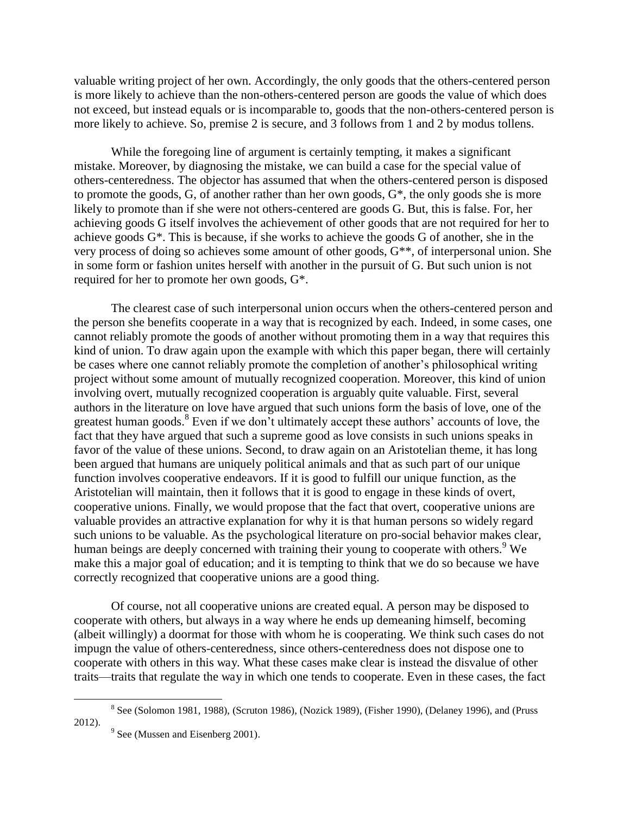valuable writing project of her own. Accordingly, the only goods that the others-centered person is more likely to achieve than the non-others-centered person are goods the value of which does not exceed, but instead equals or is incomparable to, goods that the non-others-centered person is more likely to achieve. So, premise 2 is secure, and 3 follows from 1 and 2 by modus tollens.

While the foregoing line of argument is certainly tempting, it makes a significant mistake. Moreover, by diagnosing the mistake, we can build a case for the special value of others-centeredness. The objector has assumed that when the others-centered person is disposed to promote the goods, G, of another rather than her own goods, G\*, the only goods she is more likely to promote than if she were not others-centered are goods G. But, this is false. For, her achieving goods G itself involves the achievement of other goods that are not required for her to achieve goods G\*. This is because, if she works to achieve the goods G of another, she in the very process of doing so achieves some amount of other goods, G\*\*, of interpersonal union. She in some form or fashion unites herself with another in the pursuit of G. But such union is not required for her to promote her own goods, G\*.

The clearest case of such interpersonal union occurs when the others-centered person and the person she benefits cooperate in a way that is recognized by each. Indeed, in some cases, one cannot reliably promote the goods of another without promoting them in a way that requires this kind of union. To draw again upon the example with which this paper began, there will certainly be cases where one cannot reliably promote the completion of another's philosophical writing project without some amount of mutually recognized cooperation. Moreover, this kind of union involving overt, mutually recognized cooperation is arguably quite valuable. First, several authors in the literature on love have argued that such unions form the basis of love, one of the greatest human goods.<sup>8</sup> Even if we don't ultimately accept these authors' accounts of love, the fact that they have argued that such a supreme good as love consists in such unions speaks in favor of the value of these unions. Second, to draw again on an Aristotelian theme, it has long been argued that humans are uniquely political animals and that as such part of our unique function involves cooperative endeavors. If it is good to fulfill our unique function, as the Aristotelian will maintain, then it follows that it is good to engage in these kinds of overt, cooperative unions. Finally, we would propose that the fact that overt, cooperative unions are valuable provides an attractive explanation for why it is that human persons so widely regard such unions to be valuable. As the psychological literature on pro-social behavior makes clear, human beings are deeply concerned with training their young to cooperate with others.<sup>9</sup> We make this a major goal of education; and it is tempting to think that we do so because we have correctly recognized that cooperative unions are a good thing.

Of course, not all cooperative unions are created equal. A person may be disposed to cooperate with others, but always in a way where he ends up demeaning himself, becoming (albeit willingly) a doormat for those with whom he is cooperating. We think such cases do not impugn the value of others-centeredness, since others-centeredness does not dispose one to cooperate with others in this way. What these cases make clear is instead the disvalue of other traits—traits that regulate the way in which one tends to cooperate. Even in these cases, the fact

 $8$  See (Solomon 1981, 1988), (Scruton 1986), (Nozick 1989), (Fisher 1990), (Delaney 1996), and (Pruss 2012).

 $9^9$  See (Mussen and Eisenberg 2001).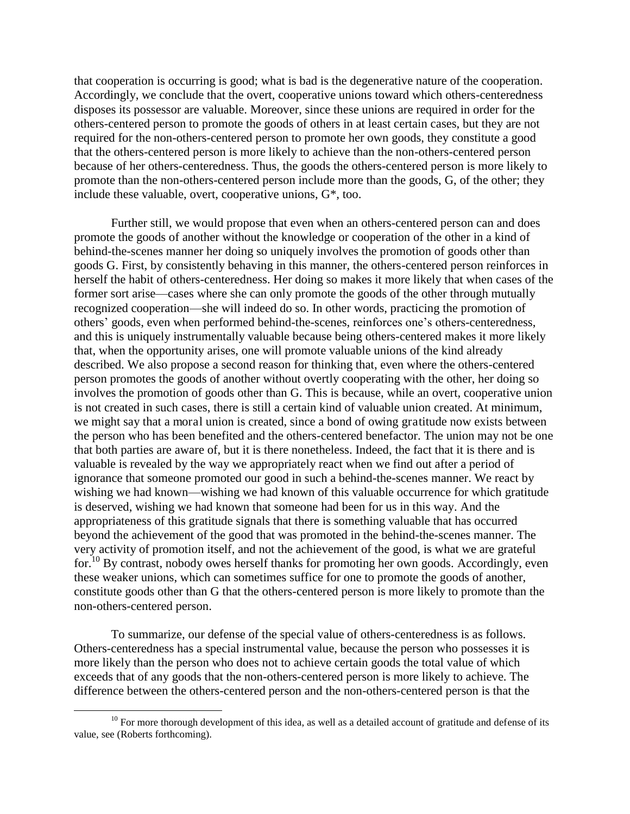that cooperation is occurring is good; what is bad is the degenerative nature of the cooperation. Accordingly, we conclude that the overt, cooperative unions toward which others-centeredness disposes its possessor are valuable. Moreover, since these unions are required in order for the others-centered person to promote the goods of others in at least certain cases, but they are not required for the non-others-centered person to promote her own goods, they constitute a good that the others-centered person is more likely to achieve than the non-others-centered person because of her others-centeredness. Thus, the goods the others-centered person is more likely to promote than the non-others-centered person include more than the goods, G, of the other; they include these valuable, overt, cooperative unions, G\*, too.

Further still, we would propose that even when an others-centered person can and does promote the goods of another without the knowledge or cooperation of the other in a kind of behind-the-scenes manner her doing so uniquely involves the promotion of goods other than goods G. First, by consistently behaving in this manner, the others-centered person reinforces in herself the habit of others-centeredness. Her doing so makes it more likely that when cases of the former sort arise—cases where she can only promote the goods of the other through mutually recognized cooperation—she will indeed do so. In other words, practicing the promotion of others' goods, even when performed behind-the-scenes, reinforces one's others-centeredness, and this is uniquely instrumentally valuable because being others-centered makes it more likely that, when the opportunity arises, one will promote valuable unions of the kind already described. We also propose a second reason for thinking that, even where the others-centered person promotes the goods of another without overtly cooperating with the other, her doing so involves the promotion of goods other than G. This is because, while an overt, cooperative union is not created in such cases, there is still a certain kind of valuable union created. At minimum, we might say that a moral union is created, since a bond of owing gratitude now exists between the person who has been benefited and the others-centered benefactor. The union may not be one that both parties are aware of, but it is there nonetheless. Indeed, the fact that it is there and is valuable is revealed by the way we appropriately react when we find out after a period of ignorance that someone promoted our good in such a behind-the-scenes manner. We react by wishing we had known—wishing we had known of this valuable occurrence for which gratitude is deserved, wishing we had known that someone had been for us in this way. And the appropriateness of this gratitude signals that there is something valuable that has occurred beyond the achievement of the good that was promoted in the behind-the-scenes manner. The very activity of promotion itself, and not the achievement of the good, is what we are grateful for.<sup>10</sup> By contrast, nobody owes herself thanks for promoting her own goods. Accordingly, even these weaker unions, which can sometimes suffice for one to promote the goods of another, constitute goods other than G that the others-centered person is more likely to promote than the non-others-centered person.

 To summarize, our defense of the special value of others-centeredness is as follows. Others-centeredness has a special instrumental value, because the person who possesses it is more likely than the person who does not to achieve certain goods the total value of which exceeds that of any goods that the non-others-centered person is more likely to achieve. The difference between the others-centered person and the non-others-centered person is that the

l

 $10$  For more thorough development of this idea, as well as a detailed account of gratitude and defense of its value, see (Roberts forthcoming).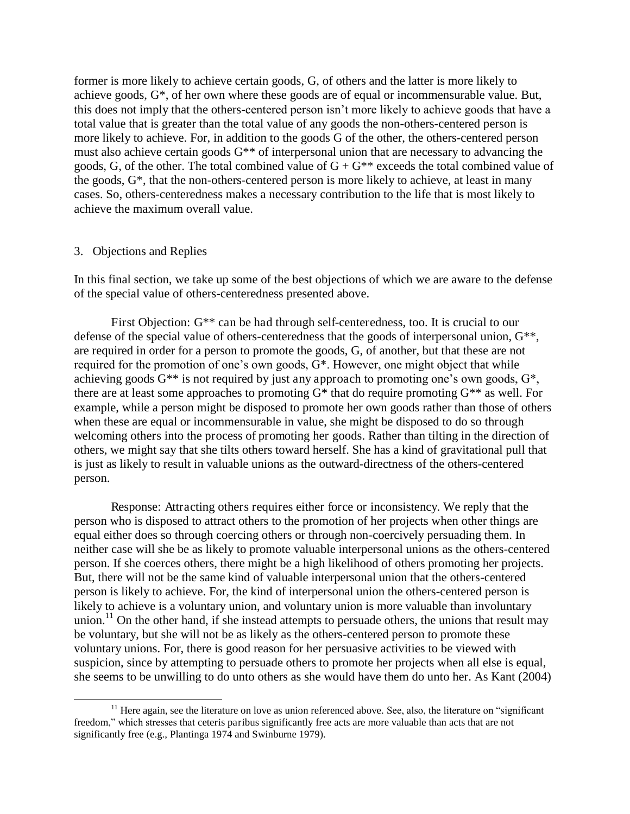former is more likely to achieve certain goods, G, of others and the latter is more likely to achieve goods, G\*, of her own where these goods are of equal or incommensurable value. But, this does not imply that the others-centered person isn't more likely to achieve goods that have a total value that is greater than the total value of any goods the non-others-centered person is more likely to achieve. For, in addition to the goods G of the other, the others-centered person must also achieve certain goods G\*\* of interpersonal union that are necessary to advancing the goods, G, of the other. The total combined value of  $G + G^{**}$  exceeds the total combined value of the goods, G\*, that the non-others-centered person is more likely to achieve, at least in many cases. So, others-centeredness makes a necessary contribution to the life that is most likely to achieve the maximum overall value.

### 3. Objections and Replies

 $\overline{a}$ 

In this final section, we take up some of the best objections of which we are aware to the defense of the special value of others-centeredness presented above.

First Objection:  $G^{**}$  can be had through self-centeredness, too. It is crucial to our defense of the special value of others-centeredness that the goods of interpersonal union, G\*\*, are required in order for a person to promote the goods, G, of another, but that these are not required for the promotion of one's own goods, G\*. However, one might object that while achieving goods  $G^{**}$  is not required by just any approach to promoting one's own goods,  $G^*$ , there are at least some approaches to promoting  $G^*$  that do require promoting  $G^{**}$  as well. For example, while a person might be disposed to promote her own goods rather than those of others when these are equal or incommensurable in value, she might be disposed to do so through welcoming others into the process of promoting her goods. Rather than tilting in the direction of others, we might say that she tilts others toward herself. She has a kind of gravitational pull that is just as likely to result in valuable unions as the outward-directness of the others-centered person.

Response: Attracting others requires either force or inconsistency. We reply that the person who is disposed to attract others to the promotion of her projects when other things are equal either does so through coercing others or through non-coercively persuading them. In neither case will she be as likely to promote valuable interpersonal unions as the others-centered person. If she coerces others, there might be a high likelihood of others promoting her projects. But, there will not be the same kind of valuable interpersonal union that the others-centered person is likely to achieve. For, the kind of interpersonal union the others-centered person is likely to achieve is a voluntary union, and voluntary union is more valuable than involuntary union.<sup>11</sup> On the other hand, if she instead attempts to persuade others, the unions that result may be voluntary, but she will not be as likely as the others-centered person to promote these voluntary unions. For, there is good reason for her persuasive activities to be viewed with suspicion, since by attempting to persuade others to promote her projects when all else is equal, she seems to be unwilling to do unto others as she would have them do unto her. As Kant (2004)

 $11$  Here again, see the literature on love as union referenced above. See, also, the literature on "significant" freedom," which stresses that ceteris paribus significantly free acts are more valuable than acts that are not significantly free (e.g., Plantinga 1974 and Swinburne 1979).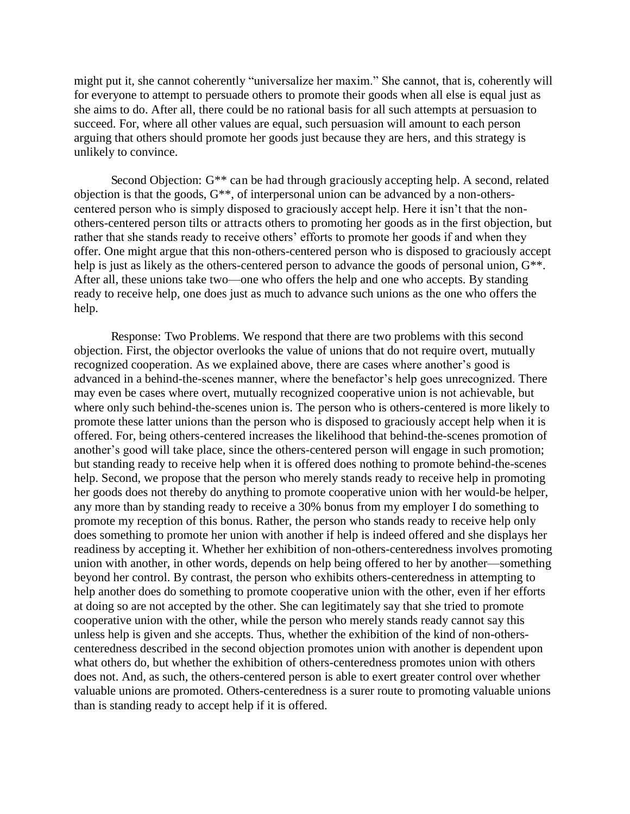might put it, she cannot coherently "universalize her maxim." She cannot, that is, coherently will for everyone to attempt to persuade others to promote their goods when all else is equal just as she aims to do. After all, there could be no rational basis for all such attempts at persuasion to succeed. For, where all other values are equal, such persuasion will amount to each person arguing that others should promote her goods just because they are hers, and this strategy is unlikely to convince.

Second Objection: G\*\* can be had through graciously accepting help. A second, related objection is that the goods,  $G^{**}$ , of interpersonal union can be advanced by a non-otherscentered person who is simply disposed to graciously accept help. Here it isn't that the nonothers-centered person tilts or attracts others to promoting her goods as in the first objection, but rather that she stands ready to receive others' efforts to promote her goods if and when they offer. One might argue that this non-others-centered person who is disposed to graciously accept help is just as likely as the others-centered person to advance the goods of personal union,  $G^{**}$ . After all, these unions take two—one who offers the help and one who accepts. By standing ready to receive help, one does just as much to advance such unions as the one who offers the help.

Response: Two Problems. We respond that there are two problems with this second objection. First, the objector overlooks the value of unions that do not require overt, mutually recognized cooperation. As we explained above, there are cases where another's good is advanced in a behind-the-scenes manner, where the benefactor's help goes unrecognized. There may even be cases where overt, mutually recognized cooperative union is not achievable, but where only such behind-the-scenes union is. The person who is others-centered is more likely to promote these latter unions than the person who is disposed to graciously accept help when it is offered. For, being others-centered increases the likelihood that behind-the-scenes promotion of another's good will take place, since the others-centered person will engage in such promotion; but standing ready to receive help when it is offered does nothing to promote behind-the-scenes help. Second, we propose that the person who merely stands ready to receive help in promoting her goods does not thereby do anything to promote cooperative union with her would-be helper, any more than by standing ready to receive a 30% bonus from my employer I do something to promote my reception of this bonus. Rather, the person who stands ready to receive help only does something to promote her union with another if help is indeed offered and she displays her readiness by accepting it. Whether her exhibition of non-others-centeredness involves promoting union with another, in other words, depends on help being offered to her by another—something beyond her control. By contrast, the person who exhibits others-centeredness in attempting to help another does do something to promote cooperative union with the other, even if her efforts at doing so are not accepted by the other. She can legitimately say that she tried to promote cooperative union with the other, while the person who merely stands ready cannot say this unless help is given and she accepts. Thus, whether the exhibition of the kind of non-otherscenteredness described in the second objection promotes union with another is dependent upon what others do, but whether the exhibition of others-centeredness promotes union with others does not. And, as such, the others-centered person is able to exert greater control over whether valuable unions are promoted. Others-centeredness is a surer route to promoting valuable unions than is standing ready to accept help if it is offered.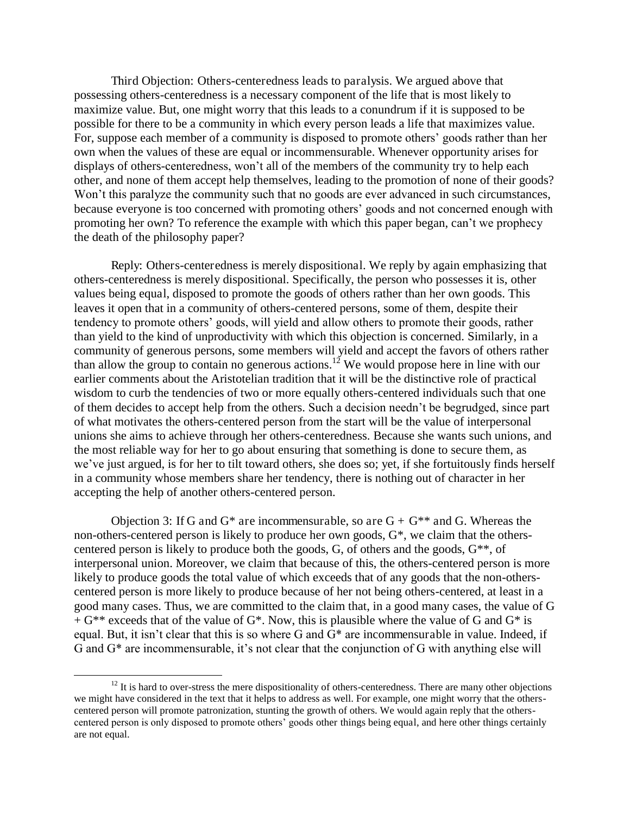Third Objection: Others-centeredness leads to paralysis. We argued above that possessing others-centeredness is a necessary component of the life that is most likely to maximize value. But, one might worry that this leads to a conundrum if it is supposed to be possible for there to be a community in which every person leads a life that maximizes value. For, suppose each member of a community is disposed to promote others' goods rather than her own when the values of these are equal or incommensurable. Whenever opportunity arises for displays of others-centeredness, won't all of the members of the community try to help each other, and none of them accept help themselves, leading to the promotion of none of their goods? Won't this paralyze the community such that no goods are ever advanced in such circumstances, because everyone is too concerned with promoting others' goods and not concerned enough with promoting her own? To reference the example with which this paper began, can't we prophecy the death of the philosophy paper?

Reply: Others-centeredness is merely dispositional. We reply by again emphasizing that others-centeredness is merely dispositional. Specifically, the person who possesses it is, other values being equal, disposed to promote the goods of others rather than her own goods. This leaves it open that in a community of others-centered persons, some of them, despite their tendency to promote others' goods, will yield and allow others to promote their goods, rather than yield to the kind of unproductivity with which this objection is concerned. Similarly, in a community of generous persons, some members will yield and accept the favors of others rather than allow the group to contain no generous actions.<sup>12</sup> We would propose here in line with our earlier comments about the Aristotelian tradition that it will be the distinctive role of practical wisdom to curb the tendencies of two or more equally others-centered individuals such that one of them decides to accept help from the others. Such a decision needn't be begrudged, since part of what motivates the others-centered person from the start will be the value of interpersonal unions she aims to achieve through her others-centeredness. Because she wants such unions, and the most reliable way for her to go about ensuring that something is done to secure them, as we've just argued, is for her to tilt toward others, she does so; yet, if she fortuitously finds herself in a community whose members share her tendency, there is nothing out of character in her accepting the help of another others-centered person.

Objection 3: If G and  $G^*$  are incommensurable, so are  $G + G^{**}$  and G. Whereas the non-others-centered person is likely to produce her own goods, G\*, we claim that the otherscentered person is likely to produce both the goods, G, of others and the goods, G\*\*, of interpersonal union. Moreover, we claim that because of this, the others-centered person is more likely to produce goods the total value of which exceeds that of any goods that the non-otherscentered person is more likely to produce because of her not being others-centered, at least in a good many cases. Thus, we are committed to the claim that, in a good many cases, the value of G  $+ G^{**}$  exceeds that of the value of  $G^*$ . Now, this is plausible where the value of G and  $G^*$  is equal. But, it isn't clear that this is so where G and G\* are incommensurable in value. Indeed, if G and G\* are incommensurable, it's not clear that the conjunction of G with anything else will

l

 $12$  It is hard to over-stress the mere dispositionality of others-centeredness. There are many other objections we might have considered in the text that it helps to address as well. For example, one might worry that the otherscentered person will promote patronization, stunting the growth of others. We would again reply that the otherscentered person is only disposed to promote others' goods other things being equal, and here other things certainly are not equal.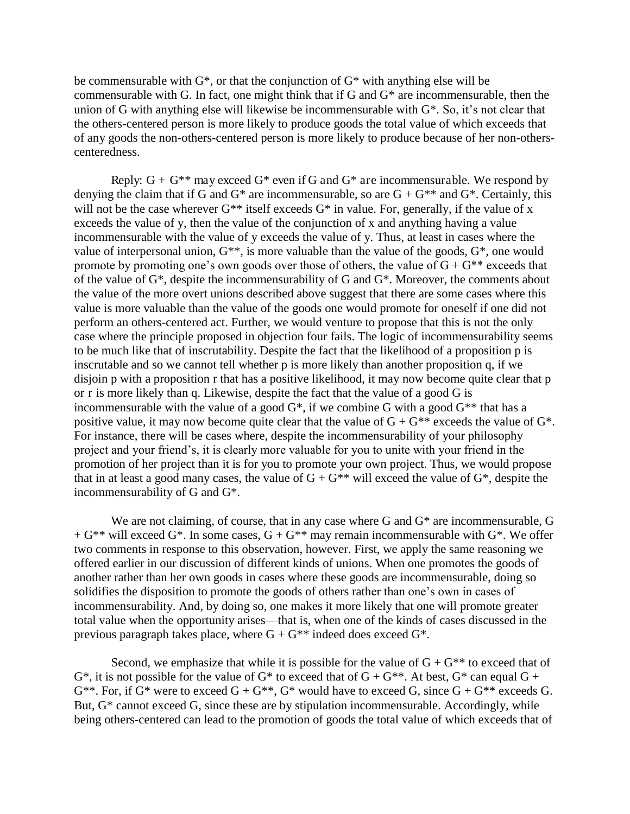be commensurable with  $G^*$ , or that the conjunction of  $G^*$  with anything else will be commensurable with G. In fact, one might think that if G and G\* are incommensurable, then the union of G with anything else will likewise be incommensurable with G\*. So, it's not clear that the others-centered person is more likely to produce goods the total value of which exceeds that of any goods the non-others-centered person is more likely to produce because of her non-otherscenteredness.

Reply:  $G + G^{**}$  may exceed  $G^*$  even if G and  $G^*$  are incommensurable. We respond by denying the claim that if G and  $G^*$  are incommensurable, so are  $G + G^{**}$  and  $G^*$ . Certainly, this will not be the case wherever  $G^{**}$  itself exceeds  $G^*$  in value. For, generally, if the value of x exceeds the value of y, then the value of the conjunction of x and anything having a value incommensurable with the value of y exceeds the value of y. Thus, at least in cases where the value of interpersonal union,  $G^{**}$ , is more valuable than the value of the goods,  $G^*$ , one would promote by promoting one's own goods over those of others, the value of  $G + G^{**}$  exceeds that of the value of G\*, despite the incommensurability of G and G\*. Moreover, the comments about the value of the more overt unions described above suggest that there are some cases where this value is more valuable than the value of the goods one would promote for oneself if one did not perform an others-centered act. Further, we would venture to propose that this is not the only case where the principle proposed in objection four fails. The logic of incommensurability seems to be much like that of inscrutability. Despite the fact that the likelihood of a proposition p is inscrutable and so we cannot tell whether p is more likely than another proposition q, if we disjoin p with a proposition r that has a positive likelihood, it may now become quite clear that p or r is more likely than q. Likewise, despite the fact that the value of a good G is incommensurable with the value of a good  $G^*$ , if we combine G with a good  $G^{**}$  that has a positive value, it may now become quite clear that the value of  $G + G^{**}$  exceeds the value of  $G^*$ . For instance, there will be cases where, despite the incommensurability of your philosophy project and your friend's, it is clearly more valuable for you to unite with your friend in the promotion of her project than it is for you to promote your own project. Thus, we would propose that in at least a good many cases, the value of  $G + G^{**}$  will exceed the value of  $G^*$ , despite the incommensurability of G and G\*.

We are not claiming, of course, that in any case where G and  $G^*$  are incommensurable, G  $+ G^{**}$  will exceed  $G^*$ . In some cases,  $G + G^{**}$  may remain incommensurable with  $G^*$ . We offer two comments in response to this observation, however. First, we apply the same reasoning we offered earlier in our discussion of different kinds of unions. When one promotes the goods of another rather than her own goods in cases where these goods are incommensurable, doing so solidifies the disposition to promote the goods of others rather than one's own in cases of incommensurability. And, by doing so, one makes it more likely that one will promote greater total value when the opportunity arises—that is, when one of the kinds of cases discussed in the previous paragraph takes place, where  $G + G^{**}$  indeed does exceed  $G^*$ .

Second, we emphasize that while it is possible for the value of  $G + G^{**}$  to exceed that of  $G^*$ , it is not possible for the value of  $G^*$  to exceed that of  $G + G^{**}$ . At best,  $G^*$  can equal  $G +$  $G^{**}$ . For, if  $G^*$  were to exceed  $G + G^{**}$ ,  $G^*$  would have to exceed G, since  $G + G^{**}$  exceeds G. But, G<sup>\*</sup> cannot exceed G, since these are by stipulation incommensurable. Accordingly, while being others-centered can lead to the promotion of goods the total value of which exceeds that of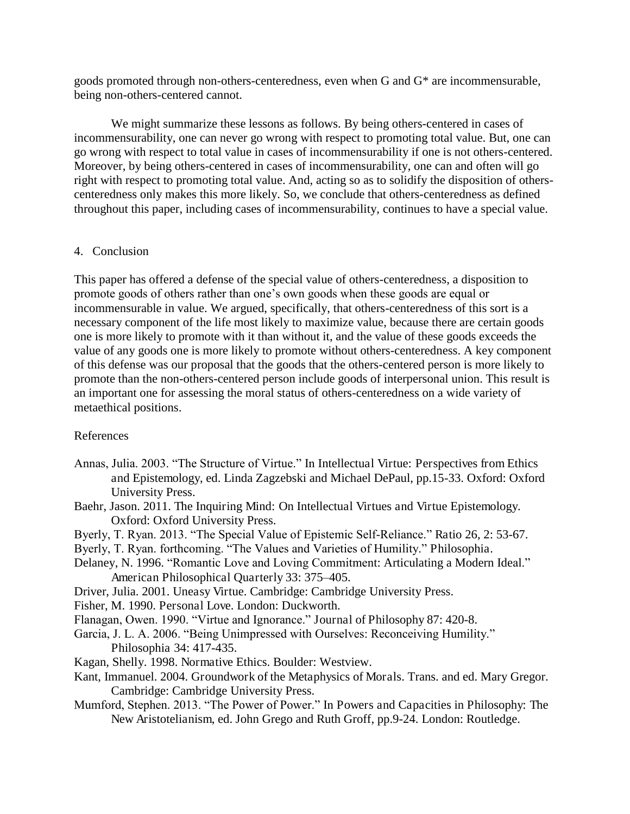goods promoted through non-others-centeredness, even when G and G\* are incommensurable, being non-others-centered cannot.

We might summarize these lessons as follows. By being others-centered in cases of incommensurability, one can never go wrong with respect to promoting total value. But, one can go wrong with respect to total value in cases of incommensurability if one is not others-centered. Moreover, by being others-centered in cases of incommensurability, one can and often will go right with respect to promoting total value. And, acting so as to solidify the disposition of otherscenteredness only makes this more likely. So, we conclude that others-centeredness as defined throughout this paper, including cases of incommensurability, continues to have a special value.

## 4. Conclusion

This paper has offered a defense of the special value of others-centeredness, a disposition to promote goods of others rather than one's own goods when these goods are equal or incommensurable in value. We argued, specifically, that others-centeredness of this sort is a necessary component of the life most likely to maximize value, because there are certain goods one is more likely to promote with it than without it, and the value of these goods exceeds the value of any goods one is more likely to promote without others-centeredness. A key component of this defense was our proposal that the goods that the others-centered person is more likely to promote than the non-others-centered person include goods of interpersonal union. This result is an important one for assessing the moral status of others-centeredness on a wide variety of metaethical positions.

## References

- Annas, Julia. 2003. "The Structure of Virtue." In Intellectual Virtue: Perspectives from Ethics and Epistemology, ed. Linda Zagzebski and Michael DePaul, pp.15-33. Oxford: Oxford University Press.
- Baehr, Jason. 2011. The Inquiring Mind: On Intellectual Virtues and Virtue Epistemology. Oxford: Oxford University Press.
- Byerly, T. Ryan. 2013. "The Special Value of Epistemic Self-Reliance." Ratio 26, 2: 53-67.
- Byerly, T. Ryan. forthcoming. "The Values and Varieties of Humility." Philosophia.
- Delaney, N. 1996. "Romantic Love and Loving Commitment: Articulating a Modern Ideal." American Philosophical Quarterly 33: 375–405.
- Driver, Julia. 2001. Uneasy Virtue. Cambridge: Cambridge University Press.
- Fisher, M. 1990. Personal Love. London: Duckworth.
- Flanagan, Owen. 1990. "Virtue and Ignorance." Journal of Philosophy 87: 420-8.
- Garcia, J. L. A. 2006. "Being Unimpressed with Ourselves: Reconceiving Humility." Philosophia 34: 417-435.
- Kagan, Shelly. 1998. Normative Ethics. Boulder: Westview.
- Kant, Immanuel. 2004. Groundwork of the Metaphysics of Morals. Trans. and ed. Mary Gregor. Cambridge: Cambridge University Press.
- Mumford, Stephen. 2013. "The Power of Power." In Powers and Capacities in Philosophy: The New Aristotelianism, ed. John Grego and Ruth Groff, pp.9-24. London: Routledge.